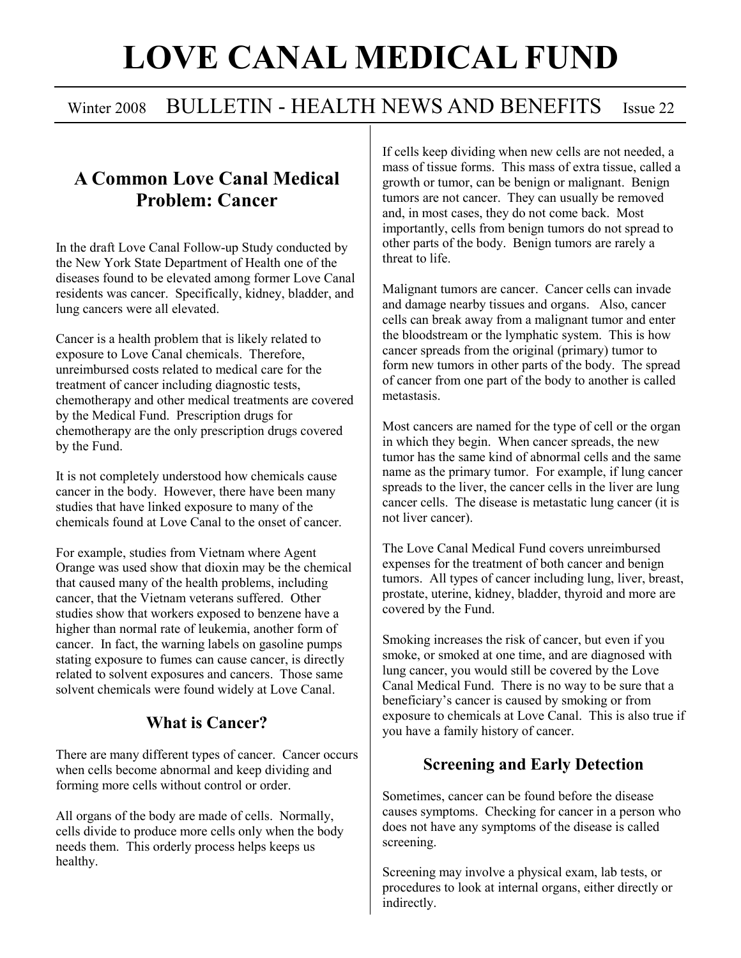# LOVE CANAL MEDICAL FUND

## Winter 2008 BULLETIN - HEALTH NEWS AND BENEFITS Issue 22

## A Common Love Canal Medical Problem: Cancer

In the draft Love Canal Follow-up Study conducted by the New York State Department of Health one of the diseases found to be elevated among former Love Canal residents was cancer. Specifically, kidney, bladder, and lung cancers were all elevated.

Cancer is a health problem that is likely related to exposure to Love Canal chemicals. Therefore, unreimbursed costs related to medical care for the treatment of cancer including diagnostic tests, chemotherapy and other medical treatments are covered by the Medical Fund. Prescription drugs for chemotherapy are the only prescription drugs covered by the Fund.

It is not completely understood how chemicals cause cancer in the body. However, there have been many studies that have linked exposure to many of the chemicals found at Love Canal to the onset of cancer.

For example, studies from Vietnam where Agent Orange was used show that dioxin may be the chemical that caused many of the health problems, including cancer, that the Vietnam veterans suffered. Other studies show that workers exposed to benzene have a higher than normal rate of leukemia, another form of cancer. In fact, the warning labels on gasoline pumps stating exposure to fumes can cause cancer, is directly related to solvent exposures and cancers. Those same solvent chemicals were found widely at Love Canal.

#### What is Cancer?

There are many different types of cancer. Cancer occurs when cells become abnormal and keep dividing and forming more cells without control or order.

All organs of the body are made of cells. Normally, cells divide to produce more cells only when the body needs them. This orderly process helps keeps us healthy.

If cells keep dividing when new cells are not needed, a mass of tissue forms. This mass of extra tissue, called a growth or tumor, can be benign or malignant. Benign tumors are not cancer. They can usually be removed and, in most cases, they do not come back. Most importantly, cells from benign tumors do not spread to other parts of the body. Benign tumors are rarely a threat to life.

Malignant tumors are cancer. Cancer cells can invade and damage nearby tissues and organs. Also, cancer cells can break away from a malignant tumor and enter the bloodstream or the lymphatic system. This is how cancer spreads from the original (primary) tumor to form new tumors in other parts of the body. The spread of cancer from one part of the body to another is called metastasis.

Most cancers are named for the type of cell or the organ in which they begin. When cancer spreads, the new tumor has the same kind of abnormal cells and the same name as the primary tumor. For example, if lung cancer spreads to the liver, the cancer cells in the liver are lung cancer cells. The disease is metastatic lung cancer (it is not liver cancer).

The Love Canal Medical Fund covers unreimbursed expenses for the treatment of both cancer and benign tumors. All types of cancer including lung, liver, breast, prostate, uterine, kidney, bladder, thyroid and more are covered by the Fund.

Smoking increases the risk of cancer, but even if you smoke, or smoked at one time, and are diagnosed with lung cancer, you would still be covered by the Love Canal Medical Fund. There is no way to be sure that a beneficiary's cancer is caused by smoking or from exposure to chemicals at Love Canal. This is also true if you have a family history of cancer.

#### Screening and Early Detection

Sometimes, cancer can be found before the disease causes symptoms. Checking for cancer in a person who does not have any symptoms of the disease is called screening.

Screening may involve a physical exam, lab tests, or procedures to look at internal organs, either directly or indirectly.